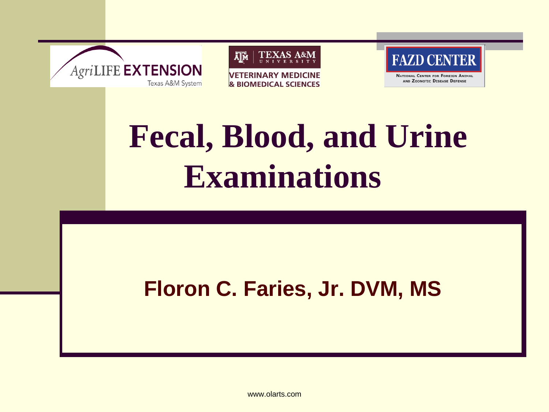



**VETERINARY MEDICINE & BIOMEDICAL SCIENCES** 



**NATIONAL CENTER FOR FOREIGN ANIMAL** AND ZOONOTIC DISEASE DEFENSE

# **Fecal, Blood, and Urine Examinations**

#### **Floron C. Faries, Jr. DVM, MS**

www.olarts.com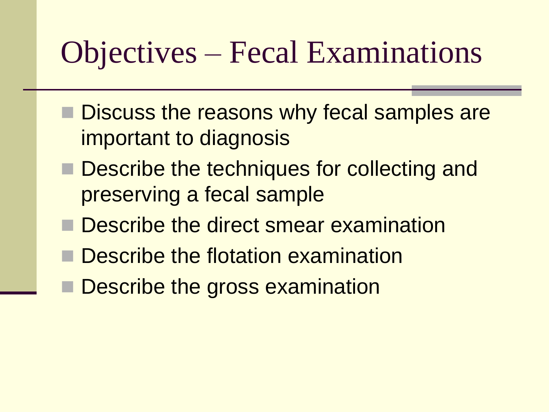#### Objectives – Fecal Examinations

- Discuss the reasons why fecal samples are important to diagnosis
- Describe the techniques for collecting and preserving a fecal sample
- **Describe the direct smear examination**
- Describe the flotation examination
- Describe the gross examination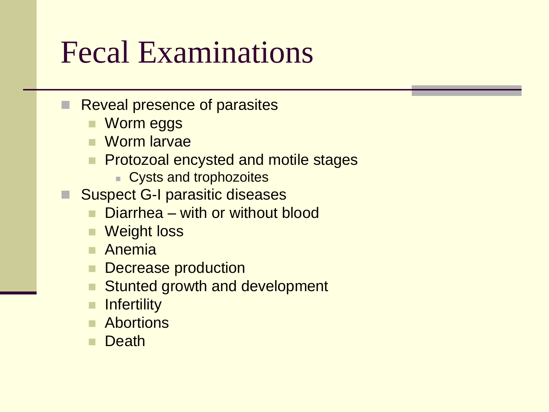#### Fecal Examinations

- Reveal presence of parasites
	- Worm eggs
	- Worm larvae
	- Protozoal encysted and motile stages
		- **Cysts and trophozoites**
- Suspect G-I parasitic diseases
	- Diarrhea with or without blood
	- Weight loss
	- **Anemia**
	- Decrease production
	- Stunted growth and development
	- **n** Infertility
	- **Abortions**
	- **Death**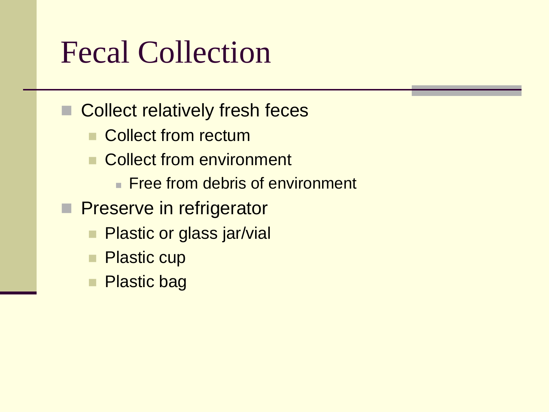### Fecal Collection

Collect relatively fresh feces

- Collect from rectum
- Collect from environment
	- **Free from debris of environment**
- **Preserve in refrigerator** 
	- **Plastic or glass jar/vial**
	- **Plastic cup**
	- Plastic bag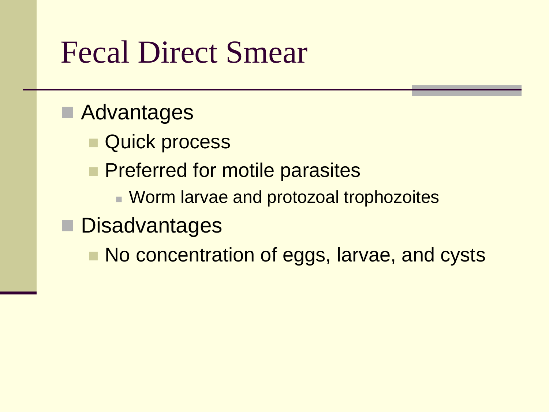#### Fecal Direct Smear

#### **Advantages**

- Quick process
- **Preferred for motile parasites** 
	- **E** Worm larvae and protozoal trophozoites

#### Disadvantages

No concentration of eggs, larvae, and cysts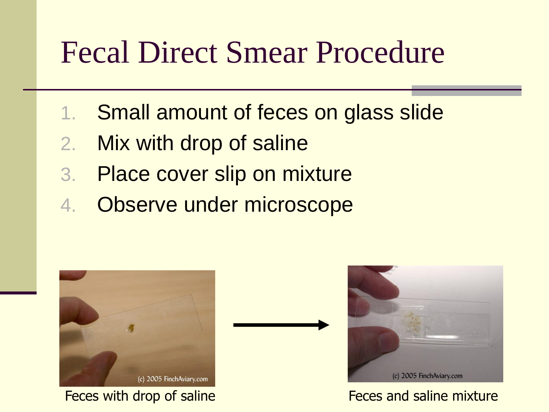#### Fecal Direct Smear Procedure

- 1. Small amount of feces on glass slide
- 2. Mix with drop of saline
- 3. Place cover slip on mixture
- 4. Observe under microscope



Feces with drop of saline Feces and saline mixture

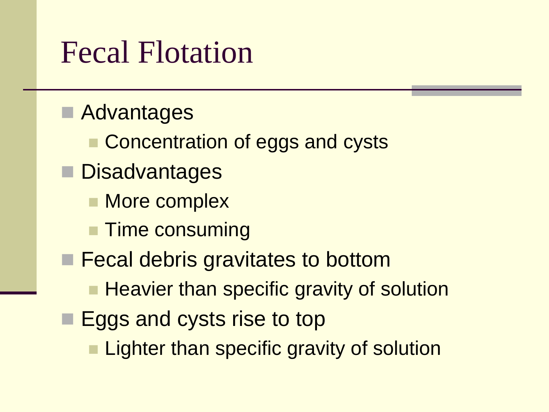#### Fecal Flotation

**Advantages Concentration of eggs and cysts** ■ Disadvantages **More complex Time consuming Fecal debris gravitates to bottom Heavier than specific gravity of solution Eggs and cysts rise to top Lighter than specific gravity of solution**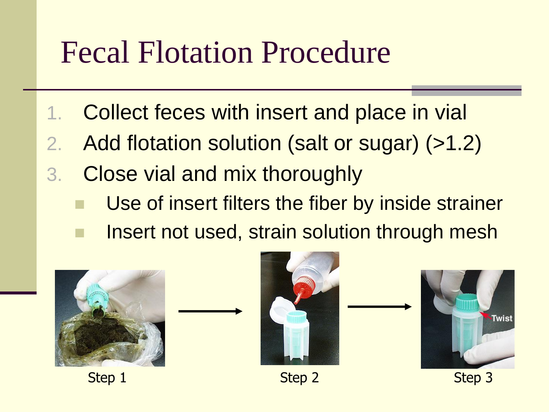#### Fecal Flotation Procedure

- 1. Collect feces with insert and place in vial
- 2. Add flotation solution (salt or sugar) (>1.2)
- 3. Close vial and mix thoroughly
	- Use of insert filters the fiber by inside strainer
	- Insert not used, strain solution through mesh

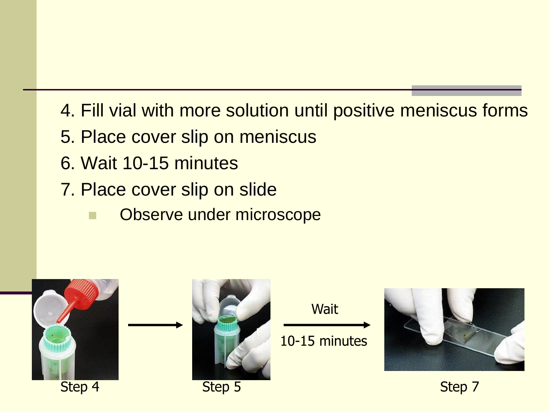- 4. Fill vial with more solution until positive meniscus forms
- 5. Place cover slip on meniscus
- 6. Wait 10-15 minutes
- 7. Place cover slip on slide
	- Observe under microscope

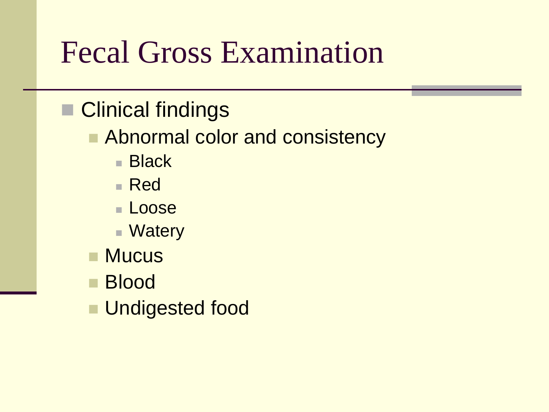#### Fecal Gross Examination

- Clinical findings
	- Abnormal color and consistency
		- Black
		- Red
		- Loose
		- Watery
	- Mucus
	- Blood
	- **Undigested food**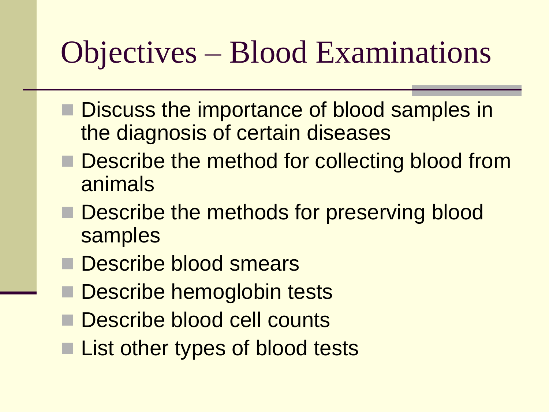## Objectives – Blood Examinations

- **Discuss the importance of blood samples in** the diagnosis of certain diseases
- Describe the method for collecting blood from animals
- Describe the methods for preserving blood samples
- Describe blood smears
- Describe hemoglobin tests
- Describe blood cell counts
- List other types of blood tests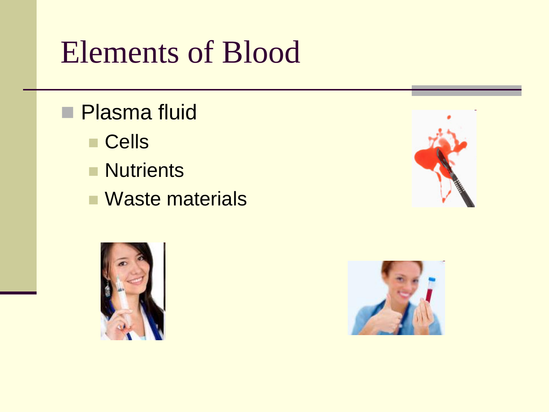## Elements of Blood

- **Plasma fluid** 
	- Cells
	- **Nutrients**
	- **Naste materials**





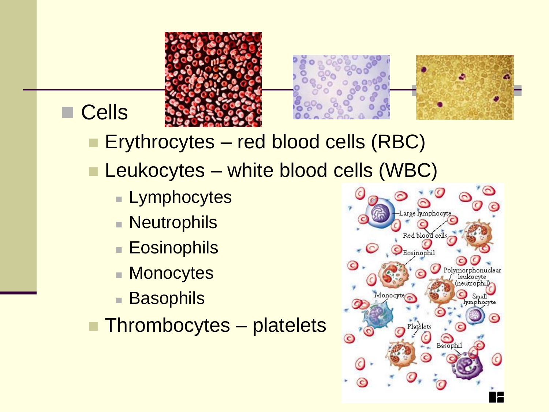



#### **Cells**

- **Erythrocytes red blood cells (RBC)**
- **Leukocytes white blood cells (WBC)** 
	- **Lymphocytes**
	- **Neutrophils**
	- **Eosinophils**
	- **Monocytes**
	- **Basophils**

**Thrombocytes – platelets** 

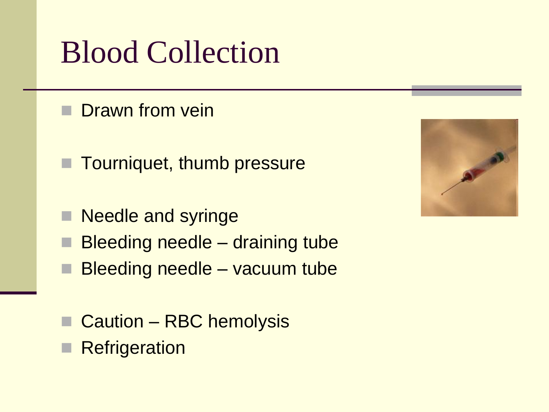## Blood Collection

- Drawn from vein
- **Tourniquet, thumb pressure**
- Needle and syringe
- Bleeding needle draining tube
- Bleeding needle vacuum tube
- Caution RBC hemolysis
- **Refrigeration**

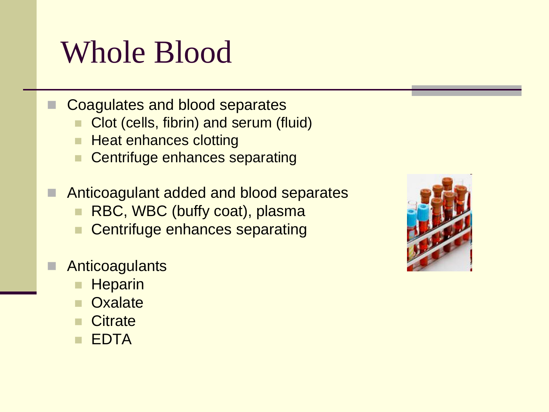#### Whole Blood

- Coagulates and blood separates
	- Clot (cells, fibrin) and serum (fluid)
	- **Heat enhances clotting**
	- **Centrifuge enhances separating**
	- Anticoagulant added and blood separates
		- **RBC, WBC (buffy coat), plasma**
		- **Centrifuge enhances separating**

#### **Anticoagulants**

- **Heparin**
- **Oxalate**
- **Citrate**
- **EDTA**

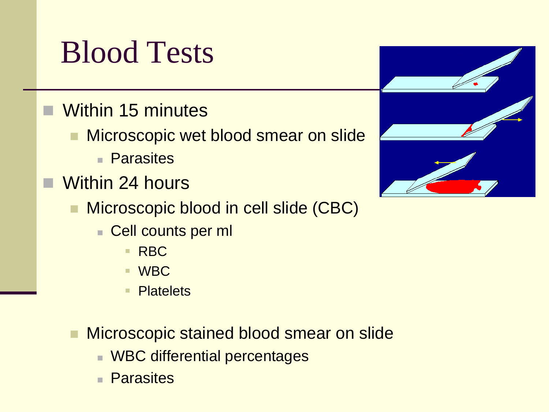#### Blood Tests

- **Within 15 minutes** 
	- **Microscopic wet blood smear on slide** 
		- Parasites
- Within 24 hours
	- **Microscopic blood in cell slide (CBC)** 
		- Cell counts per ml
			- RBC
			- WBC
			- Platelets
	- **Microscopic stained blood smear on slide** 
		- **NBC differential percentages**
		- **Parasites**

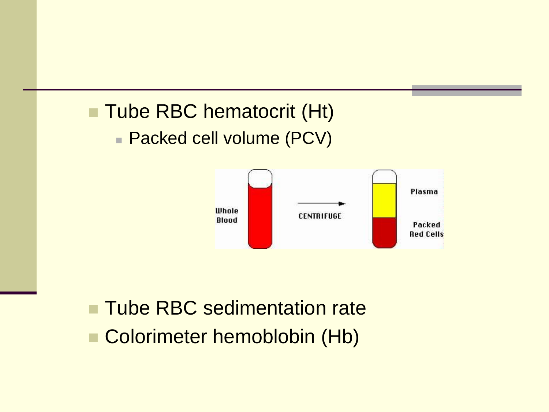#### **Tube RBC hematocrit (Ht)**

**Packed cell volume (PCV)** 



#### **Tube RBC sedimentation rate** Colorimeter hemoblobin (Hb)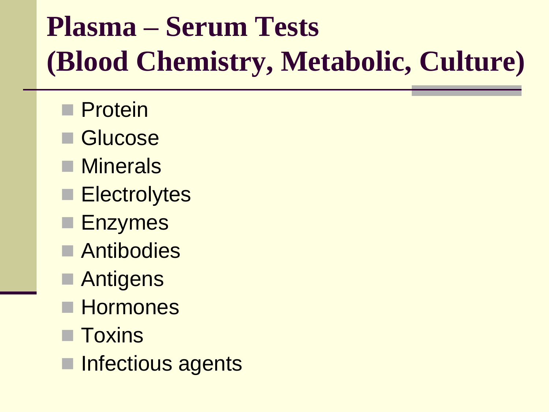# **Plasma – Serum Tests (Blood Chemistry, Metabolic, Culture)**

- **Protein**
- Glucose
- **Minerals**
- **Electrolytes**
- **Enzymes**
- **Antibodies**
- **Antigens**
- **Hormones**
- Toxins
- Infectious agents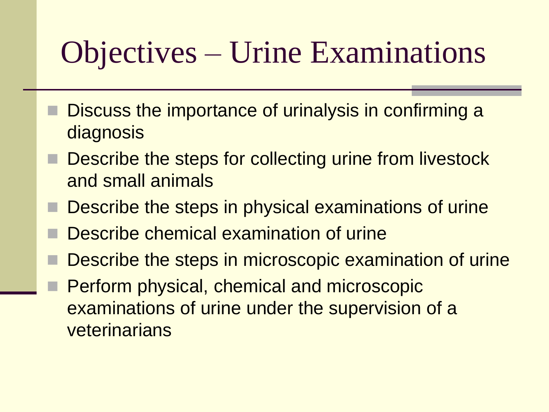# Objectives – Urine Examinations

- Discuss the importance of urinalysis in confirming a diagnosis
- Describe the steps for collecting urine from livestock and small animals
- Describe the steps in physical examinations of urine
- Describe chemical examination of urine
- Describe the steps in microscopic examination of urine
- Perform physical, chemical and microscopic examinations of urine under the supervision of a veterinarians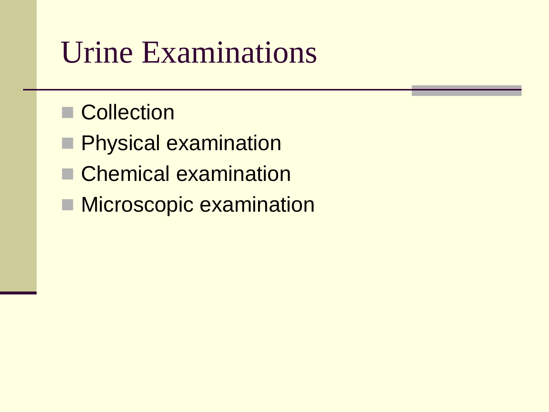#### Urine Examinations

- Collection
- **Physical examination**
- Chemical examination
- **Microscopic examination**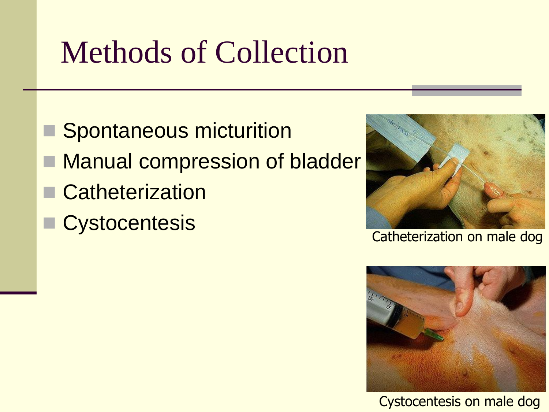# Methods of Collection

- Spontaneous micturition
- **Manual compression of bladder**
- Catheterization
- **Cystocentesis**



Catheterization on male dog



Cystocentesis on male dog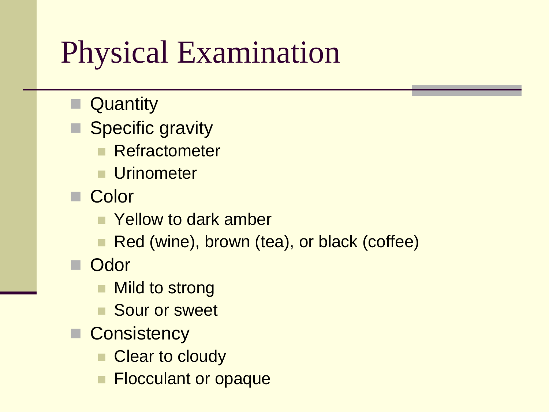## Physical Examination

- **Quantity**
- Specific gravity
	- **Refractometer**
	- **Urinometer**
- **Color** 
	- **E** Yellow to dark amber
	- Red (wine), brown (tea), or black (coffee)
- **Odor** 
	- **Nild to strong**
	- Sour or sweet
- **Consistency** 
	- Clear to cloudy
	- Flocculant or opaque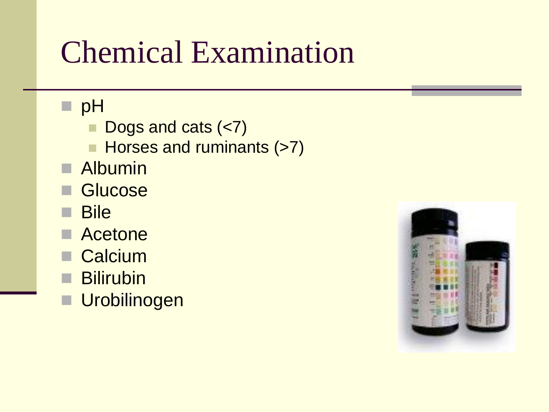## Chemical Examination

#### pH<sub>pH</sub>

- Dogs and cats (<7)
- Horses and ruminants (>7)
- **Albumin**
- Glucose
- **Bile**
- Acetone
- Calcium
- **Bilirubin**
- **Urobilinogen**

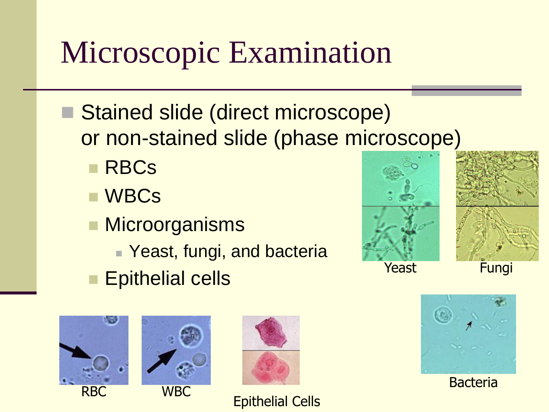# Microscopic Examination

- Stained slide (direct microscope) or non-stained slide (phase microscope)
	- **RBCs**
	- WBCs
	- **Microorganisms** 
		- Yeast, fungi, and bacteria
	- **Epithelial cells**







Epithelial Cells







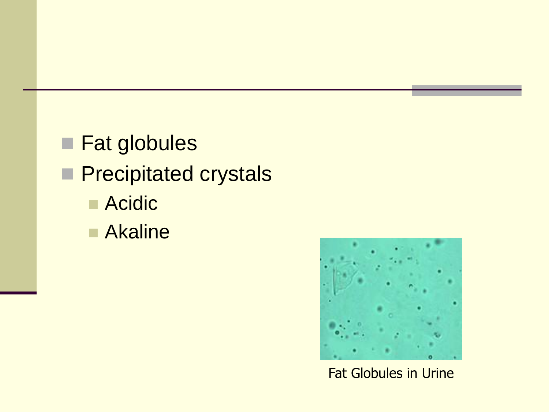**Fat globules Precipitated crystals Acidic Akaline** 



Fat Globules in Urine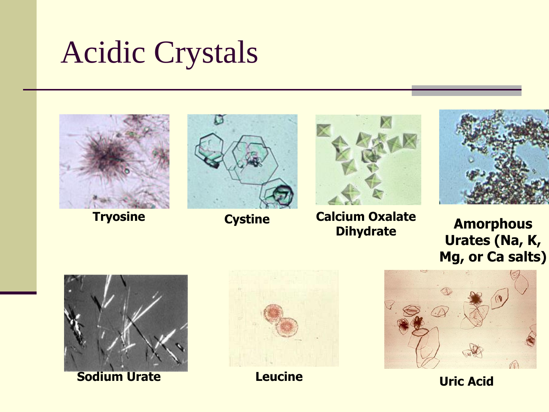## Acidic Crystals







**Calcium Oxalate Dihydrate Tryosine <b>Cystine Cystine Calcium Oxalate Amorphous** 



**Urates (Na, K, Mg, or Ca salts)**



**Sodium Urate <b>Construction Leucine Construction Uric Acid** 



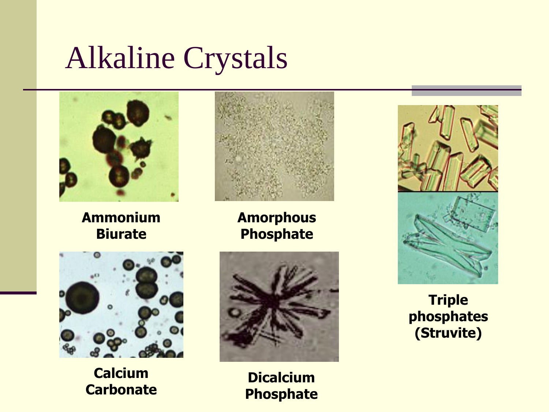### Alkaline Crystals



**Ammonium Biurate**



**Amorphous Phosphate**



**Calcium Carbonate**



**Dicalcium Phosphate**



#### **Triple phosphates (Struvite)**